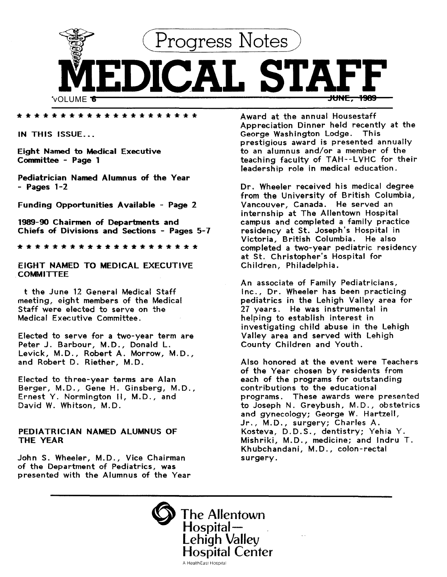

\*\*\*\*\*\*\*\*\*\*\*\*\*\*\*\*\*\*\*\*\*

IN THIS ISSUE...

Eight Named to Medical Executive Committee - Page 1

Pediatrician Named Alumnus of the Year - Pages 1-2

Funding Opportunities Available - Page 2

1989-90 Chairmen of Departments and Chiefs of Divisions and Sections - Pages 5-7

\*\*\*\*\*\*\*\*\*\*\*\*\*\*\*\*\*\*\*\*\*

EIGHT NAMED TO MEDICAL EXECUTIVE **COMMITTEE** 

t the June 12 General Medical Staff meeting, eight members of the Medical Staff were elected to serve on the Medical Executive Committee.

Elected to serve for a two-year term are Peter J. Barbour, M.D., Donald L. Levick, M.D., Robert A. Morrow, M.D., and Robert D. Riether, M.D.

Elected to three-year terms are Alan Berger, M.D., Gene H. Ginsberg, M.D., Ernest Y. Normington II, M.D., and David W. Whitson, M.D.

## PEDIATRICIAN NAMED ALUMNUS OF THE YEAR

John S. Wheeler, M.D., Vice Chairman of the Department of Pediatrics, was presented with the Alumnus of the Year Award at the annual Housestaff Appreciation Dinner held recently at the George Washington Lodge. This prestigious award is presented annually to an alumnus and/or a member of the teaching faculty of TAH--LVHC for their leadership role in medical education.

Dr. Wheeler received his medical degree from the University of British Columbia, Vancouver, Canada. He served an internship at The Allentown Hospital campus and completed a family practice residency at St. Joseph's Hospital in Victoria, British Columbia. He also completed a two-year pediatric residency at St. Christopher's Hospital for Children, Philadelphia.

An associate of Family Pediatricians, Inc., Dr. Wheeler has been practicing pediatrics in the Lehigh Valley area for 27 years. He was instrumental in helping to establish interest in investigating child abuse in the Lehigh Valley area and served with Lehigh County Children and Youth.

Also honored at the event were Teachers of the Year chosen by residents from each of the programs for outstanding contributions to the educational programs. These awards were presented to Joseph N. Greybush, M.D., obstetrics and gynecology; George W. Hartzell, Jr., M.D., surgery; Charles A. Kosteva, D.D.S., dentistry; Yehia Y. Mishriki, M.D., medicine; and lndru T. Khubchandani, M.D., colon-rectal surgery.

The Allentown Hospital-<br>Lehigh Valley **Hospital Center** A HealthEast Hospital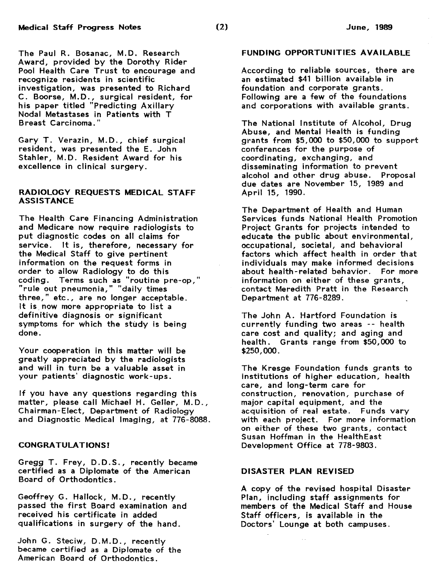The Paul R. Bosanac, M.D. Research Award, provided by the Dorothy Rider Pool Health Care Trust to encourage and recognize residents in scientific investigation, was presented to Richard C. Boorse, M.D., surgical resident, for his paper titled "Predicting Axillary Nodal Metastases in Patients with T Breast Carcinoma."

Gary T. Verazin, M.D., chief surgical resident, was presented the E. John Stahler, M.D. Resident Award for his excellence in clinical surgery.

### RADIOLOGY REQUESTS MEDICAL STAFF ASSISTANCE

The Health Care Financing Administration and Medicare now require radiologists to put diagnostic codes on all claims for service. It is, therefore, necessary for the Medical Staff to give pertinent information on the request forms in order to allow Radiology to do this coding. Terms such as "routine pre-op," "rule out pneumonia," "daily times three," etc., are no longer acceptable. It is now more appropriate to list a definitive diagnosis or significant symptoms for which the study is being done.

Your cooperation in this matter will be greatly appreciated by the radiologists and will in turn be a valuable asset in your patients' diagnostic work-ups.

If you have any questions regarding this matter, please call Michael H. Geller, M.D., Chairman-Elect, Department of Radiology and Diagnostic Medical Imaging, at 776-8088.

#### CONGRATULATIONS!

Gregg T. Frey, D.D.S., recently became certified as a Diplomate of the American Board of Orthodontics.

Geoffrey G. Hallock, M.D., recently passed the first Board examination and received his certificate in added qualifications in surgery of the hand.

.John G. Steciw, D. M.D., recently became certified as a Diplomate of the American Board of Orthodontics.

#### FUNDING OPPORTUNITIES AVAILABLE

According to reliable sources, there are an estimated \$41 billion available in foundation and corporate grants. Following are a few of the foundations and corporations with available grants.

The National Institute of Alcohol, Drug Abuse, and Mental Health is funding grants from \$5,000 to \$50,000 to support conferences for the purpose of coordinating, exchanging, and disseminating information to prevent alcohol and other drug abuse. Proposal due dates are November 15, 1989 and April 15, 1990.

The Department of Health and Human Services funds National Health Promotion Project Grants for projects intended to educate the public about environmental, occupational, societal, and behavioral factors which affect health in order that individuals may make informed decisions about health- related behavior. For more information on either of these grants, contact Meredith Pratt in the Research Department at 776-8289.

The John A. Hartford Foundation is currently funding two areas -- health care cost and quality; and aging and health. Grants range from \$50,000 to \$250,000.

The Kresge Foundation funds grants to institutions of higher education, health care, and long-term care for construction, renovation, purchase of major capital equipment, and the acquisition of real estate. Funds vary with each project. For more information on either of these two grants, contact Susan Hoffman in the HealthEast Development Office at 778-9803.

#### DISASTER PLAN REVISED

A copy of the revised hospital Disaster Plan, including staff assignments for members of the Medical Staff and House Staff officers, is available in the Doctors' Lounge at both campuses .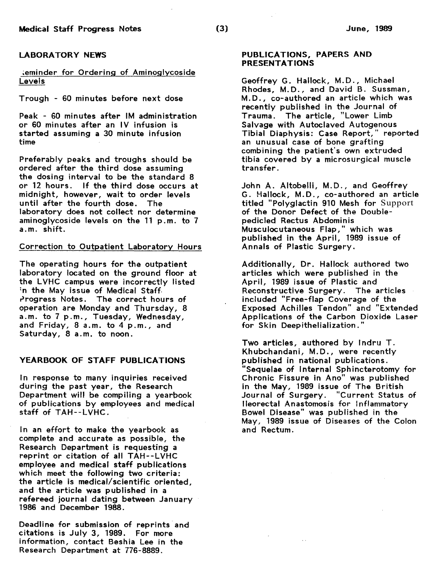### LABORATORY NEWS

~eminder for Ordering of Aminoglycoside Levels

Trough - 60 minutes before next dose

Peak - 60 minutes after IM administration or 60 minutes after an IV infusion is started assuming a 30 minute infusion time

Preferably peaks and troughs should be ordered after the third dose assuming the dosing interval to be the standard 8 or 12 hours. If the third dose occurs at midnight, however, wait to order levels until after the fourth dose. The laboratory does not collect nor determine aminoglycoside levels on the 11 p.m. to 7 a.m. shift.

#### Correction to Outpatient Laboratory Hours

The operating hours for the outpatient laboratory located on the ground floor at the LVHC campus were incorrectly listed 'n the May issue of Medical Staff. Progress Notes. The correct hours of operation are Monday and Thursday, 8 a.m. to 7 p.m., Tuesday, Wednesday, and Friday, 8 a.m. to 4 p.m., and Saturday, 8 a.m. to noon.

## YEARBOOK OF STAFF PUBLICATIONS

In response to many inquiries received during the past year, the Research Department will be compiling a yearbook of publications by employees and medical staff of TAH--LVHC.

In an effort to make the yearbook as complete and accurate as possible, the Research Department is requesting a reprint or citation of all TAH--LVHC employee and medical staff publications which meet the following two criteria: the article is medical/scientific oriented, and the article was published in a refereed journal dating between January 1986 and December 1988.

Deadline for submission of reprints and citations is July 3, 1989. For more information, contact Beshia Lee in the Research Department at 776-8889.

### PUBLICATIONS, PAPERS AND PRESENTATIONS

Geoffrey G. Hallock, M.D., Michael Rhodes, M.D., and David B. Sussman, M.D., co-authored an article which was recently published in the Journal of Trauma. The article, "Lower Limb Salvage with Autoclaved Autogenous Tibial Diaphysis: Case Report," reported an unusual case of bone grafting combining the patient's own extruded tibia covered by a microsurgical muscle transfer.

John A. Altobelli, M.D., and Geoffrey G. Hallock, M.D., co-authored an article titled "Polyglactin 910 Mesh for Support of the Donor Defect of the Doublepedicled Rectus Abdominis Musculocutaneous Flap," which was published in the April, 1989 issue of Annals of Plastic Surgery.

Additionally, Dr. Hallock authored two articles which were published in the April, 1989 issue of Plastic and Reconstructive Surgery. The articles included "Free-flap Coverage of the Exposed Achilles Tendon" and "Extended Applications of the Carbon Dioxide Laser for Skin Deepithelialization."

Two articles, authored by Indru T. Khubchandani, M.D., were recently published in national publications. "Sequelae of Internal Sphincterotomy for Chronic Fissure in Ano" was published in the May, 1989 issue of The British Journal of Surgery. "Current Status of lleorectal Anastomosis for Inflammatory Bowel Disease" was published in the May, 1989 issue of Diseases of the Colon and Rectum.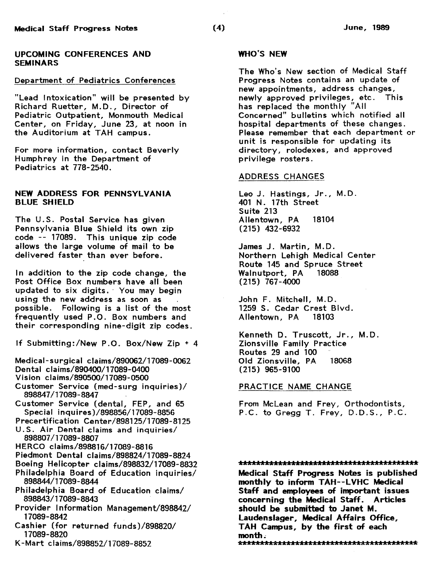### UPCOMING CONFERENCES AND SEMINARS

## Department of Pediatrics Conferences

"Lead Intoxication" will be presented by Richard Ruetter, M.D., Director of Pediatric Outpatient, Monmouth Medical Center, on Friday, June 23, at noon in the Auditorium at TAH campus.

For more information, contact Beverly Humphrey in the Department of Pediatrics at 778-2540.

## NEW ADDRESS FOR PENNSYLVANIA BLUE SHIELD

The U.S. Postal Service has given Pennsylvania Blue Shield its own zip code -- 17089. This unique zip code allows the large volume of mail to be delivered faster than ever before.

In addition to the zip code change, the Post Office Box numbers have all been updated to six digits. · You may begin using the new address as soon as possible. Following is a list of the most frequently used P .0. Box numbers and their corresponding nine-digit zip codes.

If Submitting:/New P.O. Box/New Zip+ 4

Medical-surgical claims/890062/17089-0062 Dental claims/890400/17089-0400

- Vision claims/890500/17089-0500
- Customer Service (med-surg inquiries)/ 898847/17089-8847
- Customer Service (dental, FEP, and 65 Special inquires)/898856/17089-8856
- Precertification Center/898125/17089-8125 U.S. Air Dental claims and inquiries/
- 898807/17089-8807
- HERCO claims/898816/17089-8816
- Piedmont Dental claims/898824/17089-8824
- Boeing Helicopter claims/898832/17089-8832 Philadelphia Board of Education inquiries/ 898844/17089-8844
- Philadelphia Board of Education claims/ 898843/17089-8843
- Provider Information Management/898842/ 17089-8842
- Cashier (for returned funds) /898820/ 17089-8820
- K -Mart clairns/898852/17089-8852

### WHO'S NEW

The Who's New section of Medical Staff Progress Notes contains an update of new appointments, address changes, newly approved privileges, etc. This has replaced the monthly "All Concerned" bulletins which notified all hospital departments of these changes. Please remember that each department or unit is responsible for updating its directory, rolodexes, and approved privilege rosters.

### ADDRESS CHANGES

Leo J. Hastings, Jr., M.D. 401 N. 17th Street Suite 213 Allentown, PA 18104 (215) 432-6932

James J. Martin, M.D. Northern Lehigh Medical Center Route 145 and Spruce Street<br>Walnutport, PA 18088 Walnutport, PA (215) 767-4000

John F. Mitchell, M.D. 1259 S. Cedar Crest Blvd. Allentown, PA 18103

Kenneth D. Truscott, Jr., M.D. Zionsville Family Practice Routes 29 and 100 Old Zionsville, PA 18068 (215) 965-9100

#### PRACTICE NAME CHANGE

From Mclean and Frey, Orthodontists, P.C. to Gregg T. Frey, D.D.S., P.C.

### 

Medical Staff Progress Notes is published monthly to inform TAH--LVHC Medical Staff and employees of important issues concerning the Medical Staff. Articles should be submitted to Janet M. Laudenslager, Medical Affairs Office, TAH Campus, by the first of each month~ AAAAAAAAAAAAAA~AAAAAAAAAAAAAAAAAAAAAAAAk£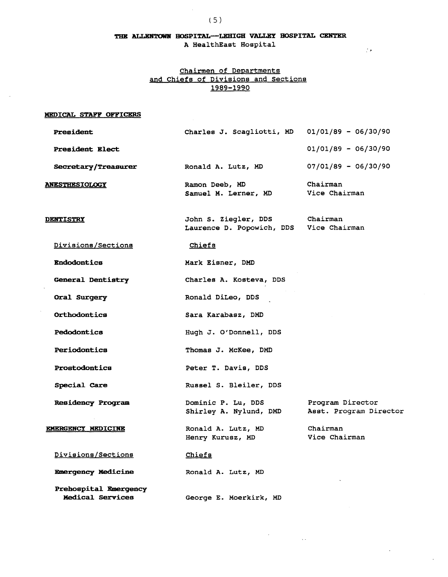## THE ALLENTOWN HOSPITAL--LEHIGH VALLEY HOSPITAL CENTER A HealthEast Hospital

''

# Chairmen of Departments and Chiefs of Divisions and Sections 1989-1990

#### MEDICAL STAFF OFFICERS

L.

| President                                        | Charles J. Scagliotti, MD                                       | $01/01/89 - 06/30/90$                      |
|--------------------------------------------------|-----------------------------------------------------------------|--------------------------------------------|
| <b>President Elect</b>                           |                                                                 | $01/01/89 - 06/30/90$                      |
| Secretary/Treasurer                              | Ronald A. Lutz, MD                                              | $07/01/89 - 06/30/90$                      |
| <b>ANESTHESIOLOGY</b>                            | Ramon Deeb, MD<br>Samuel M. Lerner, MD                          | Chairman<br>Vice Chairman                  |
| <b>DENTISTRY</b>                                 | John S. Ziegler, DDS<br>Laurence D. Popowich, DDS Vice Chairman | Chairman                                   |
| Divisions/Sections                               | Chiefs                                                          |                                            |
| <b>Endodontics</b>                               | Mark Eisner, DMD                                                |                                            |
| General Dentistry                                | Charles A. Kosteva, DDS                                         |                                            |
| Oral Surgery                                     | Ronald DiLeo, DDS                                               |                                            |
| Orthodontics                                     | Sara Karabasz, DMD                                              |                                            |
| <b>Pedodontics</b>                               | Hugh J. O'Donnell, DDS                                          |                                            |
| Periodontics                                     | Thomas J. McKee, DMD                                            |                                            |
| Prostodontics                                    | Peter T. Davis, DDS                                             |                                            |
| Special Care                                     | Russel S. Bleiler, DDS                                          |                                            |
| <b>Residency Program</b>                         | Dominic P. Lu, DDS<br>Shirley A. Nylund, DMD                    | Program Director<br>Asst. Program Director |
| <b>EMERGENCY MEDICINE</b>                        | Ronald A. Lutz, MD<br>Henry Kurusz, MD                          | Chairman<br>Vice Chairman                  |
| Divisions/Sections                               | Chiefs                                                          |                                            |
| <b>Emergency Medicine</b>                        | Ronald A. Lutz, MD                                              |                                            |
| Prehospital Emergency<br><b>Medical Services</b> | George E. Moerkirk, MD                                          |                                            |

 $\label{eq:2.1} \frac{d\mathbf{r}}{d\mathbf{r}} = \frac{1}{2\pi}\left(\frac{d\mathbf{r}}{d\mathbf{r}}\right)^2.$ 

 $\ddot{\phantom{a}}$ 

 $\mathcal{L}$ 

 $\overline{\phantom{a}}$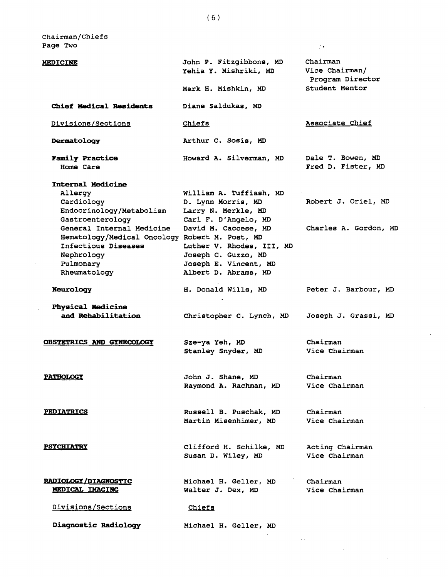Chairman/Chiefs Page Two

 $\mathbb{R}^2$ 

| <b>MEDICINE</b>                                                                                                                                                                                                                             | John P. Fitzgibbons, MD<br>Yehia Y. Mishriki, MD<br>Mark H. Mishkin, MD                                                                                                                                                   | Chairman<br>Vice Chairman/<br>Program Director<br>Student Mentor |
|---------------------------------------------------------------------------------------------------------------------------------------------------------------------------------------------------------------------------------------------|---------------------------------------------------------------------------------------------------------------------------------------------------------------------------------------------------------------------------|------------------------------------------------------------------|
| <b>Chief Medical Residents</b>                                                                                                                                                                                                              | Diane Saldukas, MD                                                                                                                                                                                                        |                                                                  |
| Divisions/Sections                                                                                                                                                                                                                          | Chiefs                                                                                                                                                                                                                    | Associate Chief                                                  |
| Dermatology                                                                                                                                                                                                                                 | Arthur C. Sosis, MD                                                                                                                                                                                                       |                                                                  |
| <b>Family Practice</b><br>Home Care                                                                                                                                                                                                         | Howard A. Silverman, MD                                                                                                                                                                                                   | Dale T. Bowen, MD<br>Fred D. Fister, MD                          |
| Internal Medicine<br>Allergy<br>Cardiology<br>Endocrinology/Metabolism<br>Gastroenterology<br>General Internal Medicine<br>Hematology/Medical Oncology Robert M. Post, MD<br>Infectious Diseases<br>Nephrology<br>Pulmonary<br>Rheumatology | William A. Tuffiash, MD<br>D. Lynn Morris, MD<br>Larry N. Merkle, MD<br>Carl F. D'Angelo, MD<br>David M. Caccese, MD<br>Luther V. Rhodes, III, MD<br>Joseph C. Guzzo, MD<br>Joseph E. Vincent, MD<br>Albert D. Abrams, MD | Robert J. Oriel, MD<br>Charles A. Gordon, MD                     |
| <b>Neurology</b>                                                                                                                                                                                                                            | H. Donald Wills, MD                                                                                                                                                                                                       | Peter J. Barbour, MD                                             |
| Physical Medicine<br>and Rehabilitation                                                                                                                                                                                                     | Christopher C. Lynch, MD                                                                                                                                                                                                  | Joseph J. Grassi, MD                                             |
| OBSTETRICS AND GYNECOLOGY                                                                                                                                                                                                                   | Sze-ya Yeh, MD<br>Stanley Snyder, MD                                                                                                                                                                                      | Chairman<br>Vice Chairman                                        |
| <b>PATHOLOGY</b>                                                                                                                                                                                                                            | John J. Shane, MD<br>Raymond A. Rachman, MD                                                                                                                                                                               | Chairman<br>Vice Chairman                                        |
| <b>PEDIATRICS</b>                                                                                                                                                                                                                           | Russell B. Puschak, MD<br>Martin Misenhimer, MD                                                                                                                                                                           | Chairman<br>Vice Chairman                                        |
| <b>PSYCHIATRY</b>                                                                                                                                                                                                                           | Clifford H. Schilke, MD<br>Susan D. Wiley, MD                                                                                                                                                                             | Acting Chairman<br>Vice Chairman                                 |
| <b>RADIOLOGY/DIAGNOSTIC</b><br><b>MEDICAL IMAGING</b>                                                                                                                                                                                       | Michael H. Geller, MD<br>Walter J. Dex, MD                                                                                                                                                                                | Chairman<br>Vice Chairman                                        |
| Divisions/Sections                                                                                                                                                                                                                          | Chiefs                                                                                                                                                                                                                    |                                                                  |
| Diagnostic Radiology                                                                                                                                                                                                                        | Michael H. Geller, MD                                                                                                                                                                                                     |                                                                  |
|                                                                                                                                                                                                                                             |                                                                                                                                                                                                                           |                                                                  |

 $\langle f | \pmb{\star} \rangle$ 

l.

 $\mathcal{L}_{\text{max}}$ 

 $\epsilon$